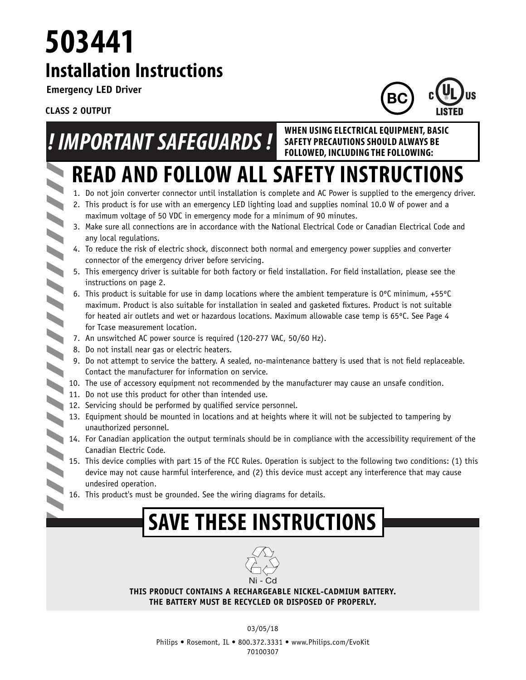## **Installation Instructions 503441**

**Emergency LED Driver**

**CLASS 2 OUTPUT**

 $\blacktriangleleft$ 

 $\blacktriangle$ 

 $\blacktriangleright$ 

 $\blacktriangleright$ 



# *! IMPORTANT SAFEGUARDS !* **WHEN USING ELECTRICAL EQUIPMENT, BASIC**

**SAFETY PRECAUTIONS SHOULD ALWAYS BE FOLLOWED, INCLUDING THE FOLLOWING:**

## **READ AND FOLLOW ALL SAFETY INSTRUCTIONS**

- 1. Do not join converter connector until installation is complete and AC Power is supplied to the emergency driver.
- 2. This product is for use with an emergency LED lighting load and supplies nominal 10.0 W of power and a maximum voltage of 50 VDC in emergency mode for a minimum of 90 minutes.
- 3. Make sure all connections are in accordance with the National Electrical Code or Canadian Electrical Code and any local regulations.
- 4. To reduce the risk of electric shock, disconnect both normal and emergency power supplies and converter connector of the emergency driver before servicing.
- 5. This emergency driver is suitable for both factory or field installation. For field installation, please see the instructions on page 2.
- 6. This product is suitable for use in damp locations where the ambient temperature is 0ºC minimum, +55ºC maximum. Product is also suitable for installation in sealed and gasketed fixtures. Product is not suitable for heated air outlets and wet or hazardous locations. Maximum allowable case temp is 65ºC. See Page 4 for Tcase measurement location.
- 7. An unswitched AC power source is required (120-277 VAC, 50/60 Hz).
- 8. Do not install near gas or electric heaters.
- 9. Do not attempt to service the battery. A sealed, no-maintenance battery is used that is not field replaceable. Contact the manufacturer for information on service.
- 10. The use of accessory equipment not recommended by the manufacturer may cause an unsafe condition.
- 11. Do not use this product for other than intended use.
- 11. By the declared the performed by qualified service personnel.
	- 13. Equipment should be mounted in locations and at heights where it will not be subjected to tampering by unauthorized personnel.
	- 14. For Canadian application the output terminals should be in compliance with the accessibility requirement of the Canadian Electric Code.
		- 15. This device complies with part 15 of the FCC Rules. Operation is subject to the following two conditions: (1) this device may not cause harmful interference, and (2) this device must accept any interference that may cause undesired operation.
		- 16. This product's must be grounded. See the wiring diagrams for details.

## **SAVE THESE INSTRUCTIONS**



**THIS PRODUCT CONTAINS A RECHARGEABLE NICKEL-CADMIUM BATTERY. THE BATTERY MUST BE RECYCLED OR DISPOSED OF PROPERLY.**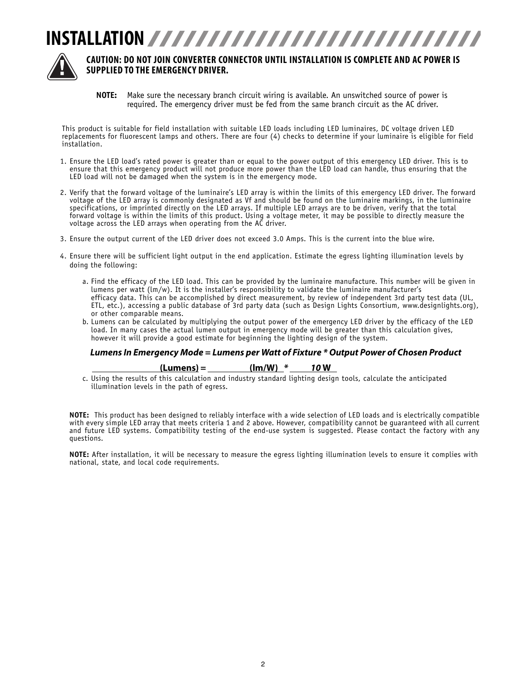



### **CAUTION: DO NOT JOIN CONVERTER CONNECTOR UNTIL INSTALLATION IS COMPLETE AND AC POWER IS SUPPLIED TO THE EMERGENCY DRIVER.**

**NOTE:** Make sure the necessary branch circuit wiring is available. An unswitched source of power is required. The emergency driver must be fed from the same branch circuit as the AC driver.

This product is suitable for field installation with suitable LED loads including LED luminaires, DC voltage driven LED replacements for fluorescent lamps and others. There are four (4) checks to determine if your luminaire is eligible for field installation.

- 1. Ensure the LED load's rated power is greater than or equal to the power output of this emergency LED driver. This is to ensure that this emergency product will not produce more power than the LED load can handle, thus ensuring that the LED load will not be damaged when the system is in the emergency mode.
- 2. Verify that the forward voltage of the luminaire's LED array is within the limits of this emergency LED driver. The forward voltage of the LED array is commonly designated as Vf and should be found on the luminaire markings, in the luminaire specifications, or imprinted directly on the LED arrays. If multiple LED arrays are to be driven, verify that the total forward voltage is within the limits of this product. Using a voltage meter, it may be possible to directly measure the voltage across the LED arrays when operating from the AC driver.
- 3. Ensure the output current of the LED driver does not exceed 3.0 Amps. This is the current into the blue wire.
- 4. Ensure there will be sufficient light output in the end application. Estimate the egress lighting illumination levels by doing the following:
	- a. Find the efficacy of the LED load. This can be provided by the luminaire manufacture. This number will be given in lumens per watt (lm/w). It is the installer's responsibility to validate the luminaire manufacturer's efficacy data. This can be accomplished by direct measurement, by review of independent 3rd party test data (UL, ETL, etc.), accessing a public database of 3rd party data (such as Design Lights Consortium, www.designlights.org), or other comparable means.
	- b. Lumens can be calculated by multiplying the output power of the emergency LED driver by the efficacy of the LED load. In many cases the actual lumen output in emergency mode will be greater than this calculation gives, however it will provide a good estimate for beginning the lighting design of the system.

#### *Lumens In Emergency Mode = Lumens per Watt of Fixture \* Output Power of Chosen Product*

#### **(Lumens)** *=* **(lm/W)** *\* 10* **W**

 c. Using the results of this calculation and industry standard lighting design tools, calculate the anticipated illumination levels in the path of egress.

**NOTE:** This product has been designed to reliably interface with a wide selection of LED loads and is electrically compatible with every simple LED array that meets criteria 1 and 2 above. However, compatibility cannot be guaranteed with all current and future LED systems. Compatibility testing of the end-use system is suggested. Please contact the factory with any questions.

**NOTE:** After installation, it will be necessary to measure the egress lighting illumination levels to ensure it complies with national, state, and local code requirements.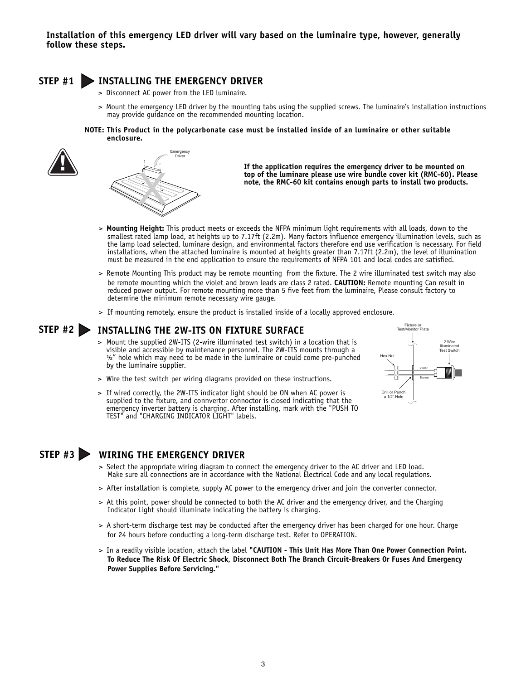### **STEP #1 INSTALLING THE EMERGENCY DRIVER**

- > Disconnect AC power from the LED luminaire.
- > Mount the emergency LED driver by the mounting tabs using the supplied screws. The luminaire's installation instructions may provide guidance on the recommended mounting location.
- **NOTE: This Product in the polycarbonate case must be installed inside of an luminaire or other suitable enclosure.**





 **If the application requires the emergency driver to be mounted on top of the luminare please use wire bundle cover kit (RMC-60). Please note, the RMC-60 kit contains enough parts to install two products.**

- > **Mounting Height:** This product meets or exceeds the NFPA minimum light requirements with all loads, down to the smallest rated lamp load, at heights up to 7.17ft (2.2m). Many factors influence emergency illumination levels, such as the lamp load selected, luminare design, and environmental factors therefore end use verification is necessary. For field installations, when the attached luminaire is mounted at heights greater than 7.17ft (2.2m), the level of illumination must be measured in the end application to ensure the requirements of NFPA 101 and local codes are satisfied.
- > Remote Mounting This product may be remote mounting from the fixture. The 2 wire illuminated test switch may also be remote mounting which the violet and brown leads are class 2 rated. **CAUTION:** Remote mounting Can result in reduced power output. For remote mounting more than 5 five feet from the luminaire, Please consult factory to determine the minimum remote necessary wire gauge.
- > If mounting remotely, ensure the product is installed inside of a locally approved enclosure.

### **STEP #2 INSTALLING THE 2W-ITS ON FIXTURE SURFACE**

- > Mount the supplied 2W-ITS (2-wire illuminated test switch) in a location that is visible and accessible by maintenance personnel. The 2W-ITS mounts through a  $\frac{1}{2}$ " hole which may need to be made in the luminaire or could come pre-punched by the luminaire supplier.
- > Wire the test switch per wiring diagrams provided on these instructions.
- > If wired correctly, the 2W-ITS indicator light should be ON when AC power is supplied to the fixture, and connvertor connoctor is closed indicating that the emergency inverter battery is charging. After installing, mark with the "PUSH TO EMERGING MYCREET Bactery is enarging. These missing TEST" and "CHARGING INDICATOR LIGHT" labels.



### **STEP #3 WIRING THE EMERGENCY DRIVER**

- > Select the appropriate wiring diagram to connect the emergency driver to the AC driver and LED load. Make sure all connections are in accordance with the National Electrical Code and any local regulations.
- > After installation is complete, supply AC power to the emergency driver and join the converter connector.
- > At this point, power should be connected to both the AC driver and the emergency driver, and the Charging Indicator Light should illuminate indicating the battery is charging.
- > A short-term discharge test may be conducted after the emergency driver has been charged for one hour. Charge for 24 hours before conducting a long-term discharge test. Refer to OPERATION.
- > In a readily visible location, attach the label **"CAUTION This Unit Has More Than One Power Connection Point. To Reduce The Risk Of Electric Shock, Disconnect Both The Branch Circuit-Breakers Or Fuses And Emergency Power Supplies Before Servicing."**